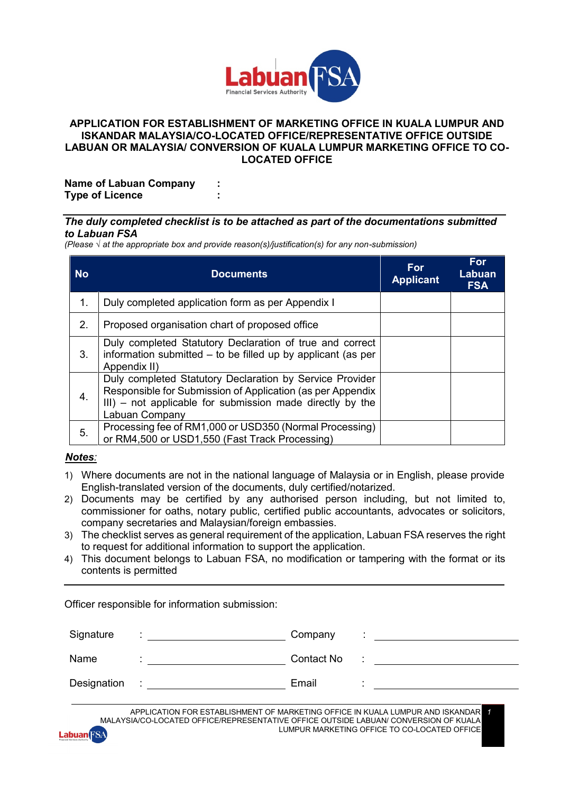

## **APPLICATION FOR ESTABLISHMENT OF MARKETING OFFICE IN KUALA LUMPUR AND ISKANDAR MALAYSIA/CO-LOCATED OFFICE/REPRESENTATIVE OFFICE OUTSIDE LABUAN OR MALAYSIA/ CONVERSION OF KUALA LUMPUR MARKETING OFFICE TO CO- LOCATED OFFICE**

**Name of Labuan Company : Type of Licence :**

## *The duly completed checklist is to be attached as part of the documentations submitted to Labuan FSA*

*(Please √ at the appropriate box and provide reason(s)/justification(s) for any non-submission)*

| <b>No</b> | <b>Documents</b>                                                                                                                                                                                      | For<br><b>Applicant</b> | <b>For</b><br>Labuan<br><b>FSA</b> |
|-----------|-------------------------------------------------------------------------------------------------------------------------------------------------------------------------------------------------------|-------------------------|------------------------------------|
| 1.        | Duly completed application form as per Appendix I                                                                                                                                                     |                         |                                    |
| 2.        | Proposed organisation chart of proposed office                                                                                                                                                        |                         |                                    |
| 3.        | Duly completed Statutory Declaration of true and correct<br>information submitted – to be filled up by applicant (as per<br>Appendix II)                                                              |                         |                                    |
| 4.        | Duly completed Statutory Declaration by Service Provider<br>Responsible for Submission of Application (as per Appendix<br>III) – not applicable for submission made directly by the<br>Labuan Company |                         |                                    |
| 5.        | Processing fee of RM1,000 or USD350 (Normal Processing)<br>or RM4,500 or USD1,550 (Fast Track Processing)                                                                                             |                         |                                    |

## *Notes:*

- 1) Where documents are not in the national language of Malaysia or in English, please provide English-translated version of the documents, duly certified/notarized.
- 2) Documents may be certified by any authorised person including, but not limited to, commissioner for oaths, notary public, certified public accountants, advocates or solicitors, company secretaries and Malaysian/foreign embassies.
- 3) The checklist serves as general requirement of the application, Labuan FSA reserves the right to request for additional information to support the application.
- 4) This document belongs to Labuan FSA, no modification or tampering with the format or its contents is permitted

Officer responsible for information submission:

| Signature   |   | Company    |   |
|-------------|---|------------|---|
| Name        |   | Contact No | ٠ |
| Designation | ٠ | Email      |   |

APPLICATION FOR ESTABLISHMENT OF MARKETING OFFICE IN KUALA LUMPUR AND ISKANDAR MALAYSIA/CO-LOCATED OFFICE/REPRESENTATIVE OFFICE OUTSIDE LABUAN/ CONVERSION OF KUALA LUMPUR MARKETING OFFICE TO CO-LOCATED OFFICE *1*

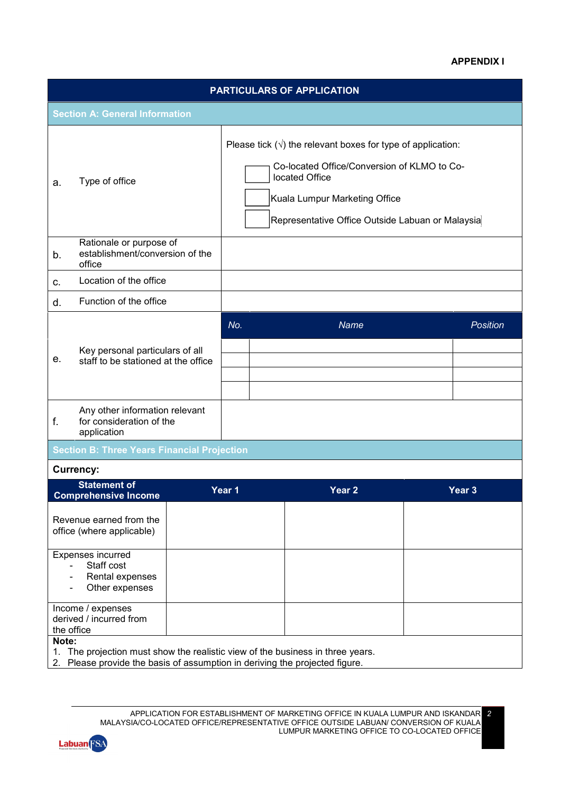## **APPENDIX I**

*2*

| <b>PARTICULARS OF APPLICATION</b> |                                                                             |  |                               |                                                                                                                                                                        |  |                   |
|-----------------------------------|-----------------------------------------------------------------------------|--|-------------------------------|------------------------------------------------------------------------------------------------------------------------------------------------------------------------|--|-------------------|
|                                   | <b>Section A: General Information</b>                                       |  |                               |                                                                                                                                                                        |  |                   |
| a.                                | located Office<br>Type of office                                            |  | Kuala Lumpur Marketing Office | Please tick $(\sqrt{})$ the relevant boxes for type of application:<br>Co-located Office/Conversion of KLMO to Co-<br>Representative Office Outside Labuan or Malaysia |  |                   |
| b.                                | Rationale or purpose of<br>establishment/conversion of the<br>office        |  |                               |                                                                                                                                                                        |  |                   |
| C.                                | Location of the office                                                      |  |                               |                                                                                                                                                                        |  |                   |
| d.                                | Function of the office                                                      |  |                               |                                                                                                                                                                        |  |                   |
| е.                                | Key personal particulars of all<br>staff to be stationed at the office      |  | No.                           | Name                                                                                                                                                                   |  | <b>Position</b>   |
| f.                                | Any other information relevant<br>for consideration of the<br>application   |  |                               |                                                                                                                                                                        |  |                   |
|                                   | <b>Section B: Three Years Financial Projection</b>                          |  |                               |                                                                                                                                                                        |  |                   |
|                                   | <b>Currency:</b>                                                            |  |                               |                                                                                                                                                                        |  |                   |
|                                   | <b>Statement of</b><br><b>Comprehensive Income</b>                          |  | Year 1                        | Year <sub>2</sub>                                                                                                                                                      |  | Year <sub>3</sub> |
|                                   | Revenue earned from the<br>office (where applicable)                        |  |                               |                                                                                                                                                                        |  |                   |
|                                   | Expenses incurred<br>Staff cost<br>Rental expenses<br>Other expenses        |  |                               |                                                                                                                                                                        |  |                   |
| the office                        | Income / expenses<br>derived / incurred from                                |  |                               |                                                                                                                                                                        |  |                   |
| Note:<br>1.                       | 2. Please provide the basis of assumption in deriving the projected figure. |  |                               | The projection must show the realistic view of the business in three years.                                                                                            |  |                   |

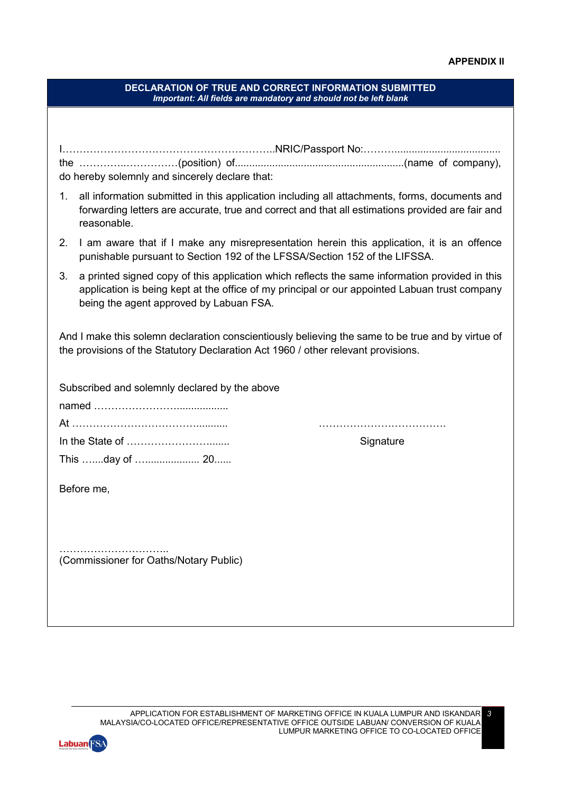*3*

|                                        | <b>DECLARATION OF TRUE AND CORRECT INFORMATION SUBMITTED</b><br>Important: All fields are mandatory and should not be left blank                                                                                                           |
|----------------------------------------|--------------------------------------------------------------------------------------------------------------------------------------------------------------------------------------------------------------------------------------------|
|                                        |                                                                                                                                                                                                                                            |
|                                        |                                                                                                                                                                                                                                            |
|                                        | do hereby solemnly and sincerely declare that:                                                                                                                                                                                             |
| 1.                                     | all information submitted in this application including all attachments, forms, documents and<br>forwarding letters are accurate, true and correct and that all estimations provided are fair and<br>reasonable.                           |
| 2.                                     | I am aware that if I make any misrepresentation herein this application, it is an offence<br>punishable pursuant to Section 192 of the LFSSA/Section 152 of the LIFSSA.                                                                    |
| 3.                                     | a printed signed copy of this application which reflects the same information provided in this<br>application is being kept at the office of my principal or our appointed Labuan trust company<br>being the agent approved by Labuan FSA. |
|                                        | And I make this solemn declaration conscientiously believing the same to be true and by virtue of<br>the provisions of the Statutory Declaration Act 1960 / other relevant provisions.                                                     |
|                                        | Subscribed and solemnly declared by the above                                                                                                                                                                                              |
|                                        |                                                                                                                                                                                                                                            |
|                                        | Signature                                                                                                                                                                                                                                  |
|                                        | This day of  20                                                                                                                                                                                                                            |
|                                        | Before me,                                                                                                                                                                                                                                 |
|                                        |                                                                                                                                                                                                                                            |
|                                        |                                                                                                                                                                                                                                            |
| (Commissioner for Oaths/Notary Public) |                                                                                                                                                                                                                                            |
|                                        |                                                                                                                                                                                                                                            |
|                                        |                                                                                                                                                                                                                                            |
|                                        |                                                                                                                                                                                                                                            |